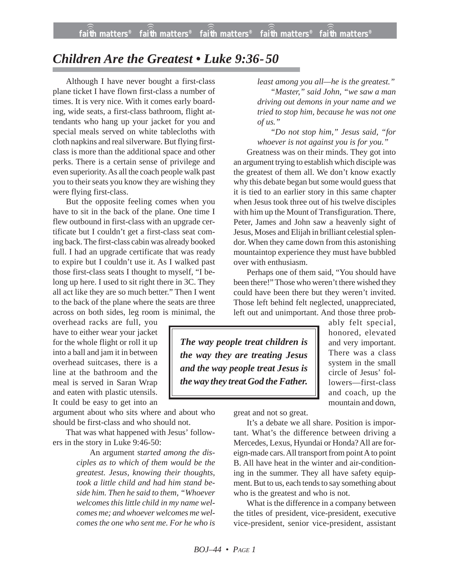## *Children Are the Greatest • Luke 9:36-50*

Although I have never bought a first-class plane ticket I have flown first-class a number of times. It is very nice. With it comes early boarding, wide seats, a first-class bathroom, flight attendants who hang up your jacket for you and special meals served on white tablecloths with cloth napkins and real silverware. But flying firstclass is more than the additional space and other perks. There is a certain sense of privilege and even superiority. As all the coach people walk past you to their seats you know they are wishing they were flying first-class.

But the opposite feeling comes when you have to sit in the back of the plane. One time I flew outbound in first-class with an upgrade certificate but I couldn't get a first-class seat coming back. The first-class cabin was already booked full. I had an upgrade certificate that was ready to expire but I couldn't use it. As I walked past those first-class seats I thought to myself, "I belong up here. I used to sit right there in 3C. They all act like they are so much better." Then I went to the back of the plane where the seats are three across on both sides, leg room is minimal, the

overhead racks are full, you have to either wear your jacket for the whole flight or roll it up into a ball and jam it in between overhead suitcases, there is a line at the bathroom and the meal is served in Saran Wrap and eaten with plastic utensils. It could be easy to get into an

argument about who sits where and about who should be first-class and who should not.

That was what happened with Jesus' followers in the story in Luke 9:46-50:

> An argument st*arted among the disciples as to which of them would be the greatest. Jesus, knowing their thoughts, took a little child and had him stand beside him. Then he said to them, "Whoever welcomes this little child in my name welcomes me; and whoever welcomes me welcomes the one who sent me. For he who is*

*least among you all—he is the greatest." "Master," said John, "we saw a man driving out demons in your name and we tried to stop him, because he was not one of us."*

*"Do not stop him," Jesus said, "for whoever is not against you is for you."*

Greatness was on their minds. They got into an argument trying to establish which disciple was the greatest of them all. We don't know exactly why this debate began but some would guess that it is tied to an earlier story in this same chapter when Jesus took three out of his twelve disciples with him up the Mount of Transfiguration. There, Peter, James and John saw a heavenly sight of Jesus, Moses and Elijah in brilliant celestial splendor. When they came down from this astonishing mountaintop experience they must have bubbled over with enthusiasm.

Perhaps one of them said, "You should have been there!" Those who weren't there wished they could have been there but they weren't invited. Those left behind felt neglected, unappreciated, left out and unimportant. And those three prob-

*The way people treat children is the way they are treating Jesus and the way people treat Jesus is the way they treat God the Father.* ably felt special, honored, elevated and very important. There was a class system in the small circle of Jesus' followers—first-class and coach, up the mountain and down,

great and not so great.

It's a debate we all share. Position is important. What's the difference between driving a Mercedes, Lexus, Hyundai or Honda? All are foreign-made cars. All transport from point A to point B. All have heat in the winter and air-conditioning in the summer. They all have safety equipment. But to us, each tends to say something about who is the greatest and who is not.

What is the difference in a company between the titles of president, vice-president, executive vice-president, senior vice-president, assistant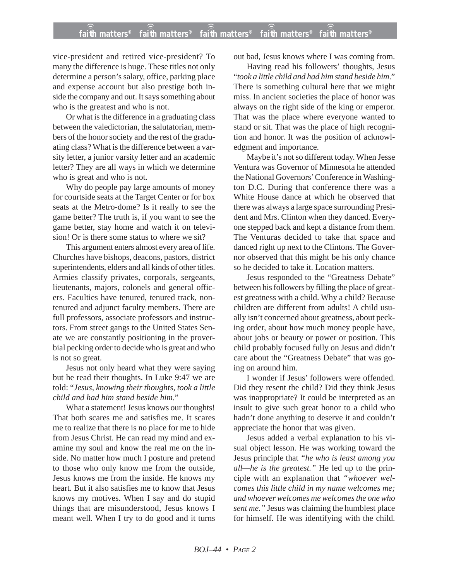## **faith matters® faith matters® faith matters® faith matters® faith matters®** ))) ))) ))) ))) )))

vice-president and retired vice-president? To many the difference is huge. These titles not only determine a person's salary, office, parking place and expense account but also prestige both inside the company and out. It says something about who is the greatest and who is not.

Or what is the difference in a graduating class between the valedictorian, the salutatorian, members of the honor society and the rest of the graduating class? What is the difference between a varsity letter, a junior varsity letter and an academic letter? They are all ways in which we determine who is great and who is not.

Why do people pay large amounts of money for courtside seats at the Target Center or for box seats at the Metro-dome? Is it really to see the game better? The truth is, if you want to see the game better, stay home and watch it on television! Or is there some status to where we sit?

This argument enters almost every area of life. Churches have bishops, deacons, pastors, district superintendents, elders and all kinds of other titles. Armies classify privates, corporals, sergeants, lieutenants, majors, colonels and general officers. Faculties have tenured, tenured track, nontenured and adjunct faculty members. There are full professors, associate professors and instructors. From street gangs to the United States Senate we are constantly positioning in the proverbial pecking order to decide who is great and who is not so great.

Jesus not only heard what they were saying but he read their thoughts. In Luke 9:47 we are told: "*Jesus, knowing their thoughts, took a little child and had him stand beside him*."

What a statement! Jesus knows our thoughts! That both scares me and satisfies me. It scares me to realize that there is no place for me to hide from Jesus Christ. He can read my mind and examine my soul and know the real me on the inside. No matter how much I posture and pretend to those who only know me from the outside, Jesus knows me from the inside. He knows my heart. But it also satisfies me to know that Jesus knows my motives. When I say and do stupid things that are misunderstood, Jesus knows I meant well. When I try to do good and it turns out bad, Jesus knows where I was coming from.

Having read his followers' thoughts, Jesus "*took a little child and had him stand beside him*." There is something cultural here that we might miss. In ancient societies the place of honor was always on the right side of the king or emperor. That was the place where everyone wanted to stand or sit. That was the place of high recognition and honor. It was the position of acknowledgment and importance.

Maybe it's not so different today. When Jesse Ventura was Governor of Minnesota he attended the National Governors' Conference in Washington D.C. During that conference there was a White House dance at which he observed that there was always a large space surrounding President and Mrs. Clinton when they danced. Everyone stepped back and kept a distance from them. The Venturas decided to take that space and danced right up next to the Clintons. The Governor observed that this might be his only chance so he decided to take it. Location matters.

Jesus responded to the "Greatness Debate" between his followers by filling the place of greatest greatness with a child. Why a child? Because children are different from adults! A child usually isn't concerned about greatness, about pecking order, about how much money people have, about jobs or beauty or power or position. This child probably focused fully on Jesus and didn't care about the "Greatness Debate" that was going on around him.

I wonder if Jesus' followers were offended. Did they resent the child? Did they think Jesus was inappropriate? It could be interpreted as an insult to give such great honor to a child who hadn't done anything to deserve it and couldn't appreciate the honor that was given.

Jesus added a verbal explanation to his visual object lesson. He was working toward the Jesus principle that *"he who is least among you all—he is the greatest."* He led up to the principle with an explanation that *"whoever welcomes this little child in my name welcomes me; and whoever welcomes me welcomes the one who sent me."* Jesus was claiming the humblest place for himself. He was identifying with the child.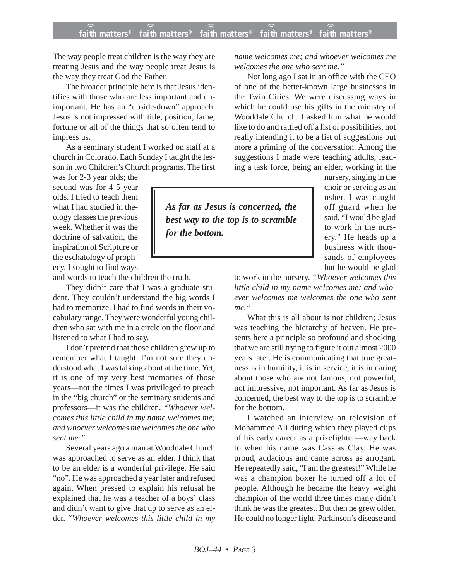ecy, I sought to find ways *for the bottom.*

The way people treat children is the way they are treating Jesus and the way people treat Jesus is the way they treat God the Father.

The broader principle here is that Jesus identifies with those who are less important and unimportant. He has an "upside-down" approach. Jesus is not impressed with title, position, fame, fortune or all of the things that so often tend to impress us.

As a seminary student I worked on staff at a church in Colorado. Each Sunday I taught the lesson in two Children's Church programs. The first

was for 2-3 year olds; the second was for 4-5 year olds. I tried to teach them what I had studied in theology classes the previous week. Whether it was the doctrine of salvation, the inspiration of Scripture or the eschatology of proph-

and words to teach the children the truth.

They didn't care that I was a graduate student. They couldn't understand the big words I had to memorize. I had to find words in their vocabulary range. They were wonderful young children who sat with me in a circle on the floor and listened to what I had to say.

I don't pretend that those children grew up to remember what I taught. I'm not sure they understood what I was talking about at the time. Yet, it is one of my very best memories of those years—not the times I was privileged to preach in the "big church" or the seminary students and professors—it was the children. *"Whoever welcomes this little child in my name welcomes me; and whoever welcomes me welcomes the one who sent me."*

Several years ago a man at Wooddale Church was approached to serve as an elder. I think that to be an elder is a wonderful privilege. He said "no". He was approached a year later and refused again. When pressed to explain his refusal he explained that he was a teacher of a boys' class and didn't want to give that up to serve as an elder. "*Whoever welcomes this little child in my* *name welcomes me; and whoever welcomes me welcomes the one who sent me."*

Not long ago I sat in an office with the CEO of one of the better-known large businesses in the Twin Cities. We were discussing ways in which he could use his gifts in the ministry of Wooddale Church. I asked him what he would like to do and rattled off a list of possibilities, not really intending it to be a list of suggestions but more a priming of the conversation. Among the suggestions I made were teaching adults, leading a task force, being an elder, working in the

> nursery, singing in the choir or serving as an usher. I was caught off guard when he said, "I would be glad to work in the nursery." He heads up a business with thousands of employees

*As far as Jesus is concerned, the best way to the top is to scramble*

**faith matters® faith matters® faith matters® faith matters® faith matters®** ))) ))) ))) ))) )))

but he would be glad to work in the nursery. *"Whoever welcomes this little child in my name welcomes me; and whoever welcomes me welcomes the one who sent me."*

What this is all about is not children; Jesus was teaching the hierarchy of heaven. He presents here a principle so profound and shocking that we are still trying to figure it out almost 2000 years later. He is communicating that true greatness is in humility, it is in service, it is in caring about those who are not famous, not powerful, not impressive, not important. As far as Jesus is concerned, the best way to the top is to scramble for the bottom.

I watched an interview on television of Mohammed Ali during which they played clips of his early career as a prizefighter—way back to when his name was Cassias Clay. He was proud, audacious and came across as arrogant. He repeatedly said, "I am the greatest!" While he was a champion boxer he turned off a lot of people. Although he became the heavy weight champion of the world three times many didn't think he was the greatest. But then he grew older. He could no longer fight. Parkinson's disease and